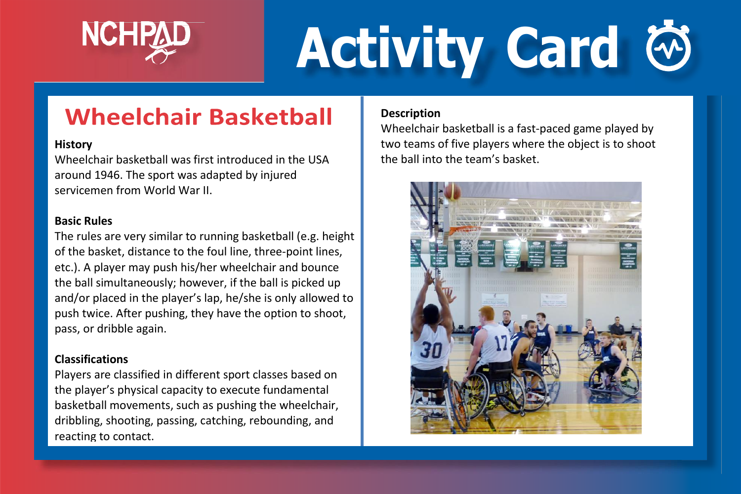

# **Activity Card**

### **Wheelchair Basketball**

#### **History**

Wheelchair basketball was first introduced in the USA around 1946. The sport was adapted by injured servicemen from World War II.

#### **Basic Rules**

The rules are very similar to running basketball (e.g. height of the basket, distance to the foul line, three-point lines, etc.). A player may push his/her wheelchair and bounce the ball simultaneously; however, if the ball is picked up and/or placed in the player's lap, he/she is only allowed to push twice. After pushing, they have the option to shoot, pass, or dribble again.

#### **Classifications**

Players are classified in different sport classes based on the player's physical capacity to execute fundamental basketball movements, such as pushing the wheelchair, dribbling, shooting, passing, catching, rebounding, and reacting to contact.

#### **Description**

Wheelchair basketball is a fast-paced game played by two teams of five players where the object is to shoot the ball into the team's basket.